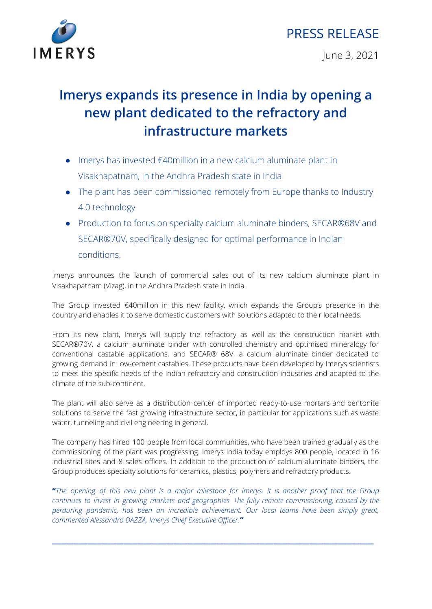



## **Imerys expands its presence in India by opening a new plant dedicated to the refractory and infrastructure markets**

- Imerys has invested  $€40$ million in a new calcium aluminate plant in Visakhapatnam, in the Andhra Pradesh state in India
- The plant has been commissioned remotely from Europe thanks to Industry 4.0 technology
- Production to focus on specialty calcium aluminate binders, SECAR®68V and SECAR®70V, specifically designed for optimal performance in Indian conditions.

Imerys announces the launch of commercial sales out of its new calcium aluminate plant in Visakhapatnam (Vizag), in the Andhra Pradesh state in India.

The Group invested €40million in this new facility, which expands the Group's presence in the country and enables it to serve domestic customers with solutions adapted to their local needs.

From its new plant, Imerys will supply the refractory as well as the construction market with SECAR®70V, a calcium aluminate binder with controlled chemistry and optimised mineralogy for conventional castable applications, and SECAR® 68V, a calcium aluminate binder dedicated to growing demand in low-cement castables. These products have been developed by Imerys scientists to meet the specific needs of the Indian refractory and construction industries and adapted to the climate of the sub-continent.

The plant will also serve as a distribution center of imported ready-to-use mortars and bentonite solutions to serve the fast growing infrastructure sector, in particular for applications such as waste water, tunneling and civil engineering in general.

The company has hired 100 people from local communities, who have been trained gradually as the commissioning of the plant was progressing. Imerys India today employs 800 people, located in 16 industrial sites and 8 sales offices. In addition to the production of calcium aluminate binders, the Group produces specialty solutions for ceramics, plastics, polymers and refractory products.

"The opening of this new plant is a major milestone for Imerys. It is another proof that the Group *continues to invest in growing markets and geographies. The fully remote commissioning, caused by the perduring pandemic, has been an incredible achievement. Our local teams have been simply great, commented Alessandro DAZZA, Imerys Chief Executive Officer."*

 $\frac{1}{2}$  ,  $\frac{1}{2}$  ,  $\frac{1}{2}$  ,  $\frac{1}{2}$  ,  $\frac{1}{2}$  ,  $\frac{1}{2}$  ,  $\frac{1}{2}$  ,  $\frac{1}{2}$  ,  $\frac{1}{2}$  ,  $\frac{1}{2}$  ,  $\frac{1}{2}$  ,  $\frac{1}{2}$  ,  $\frac{1}{2}$  ,  $\frac{1}{2}$  ,  $\frac{1}{2}$  ,  $\frac{1}{2}$  ,  $\frac{1}{2}$  ,  $\frac{1}{2}$  ,  $\frac{1$